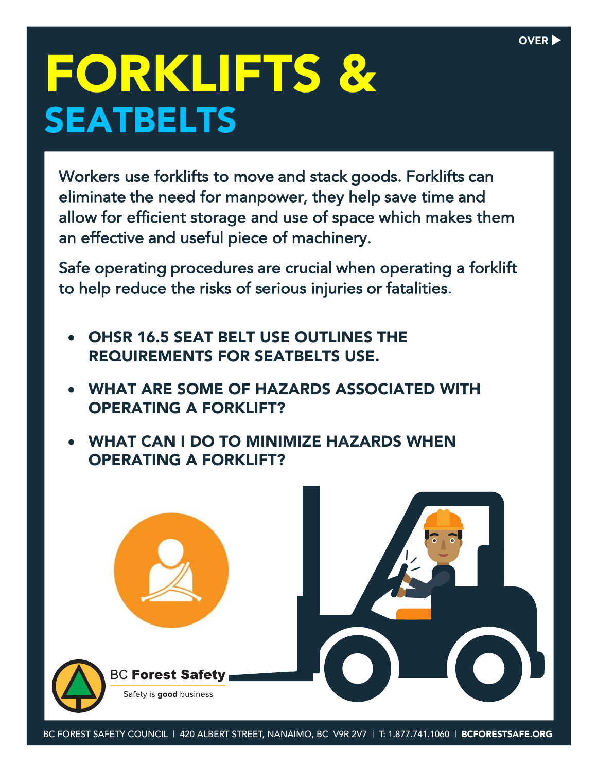# FORKLIFTS & SEATBELTS

Workers use forklifts to move and stack goods. Forklifts can eliminate the need for manpower, they help save time and allow for efficient storage and use of space which makes them an effective and useful piece of machinery.

Safe operating procedures are crucial when operating a forklift to help reduce the risks of serious injuries or fatalities.

- OHSR 16.5 SEAT BELT USE OUTLINES THE REQUIREMENTS FOR SEATBELTS USE.
- WHAT ARE SOME OF HAZARDS ASSOCIATED WITH OPERATING A FORKLIFT?
- WHAT CAN I DO TO MINIMIZE HAZARDS WHEN OPERATING A FORKLIFT?



BC FOREST SAFETY COUNCIL | 420 ALBERT STREET, NANAIMO, BC V9R 2V7 | T: 1.877.741.1060 | **BCFORESTSAFE.ORG**